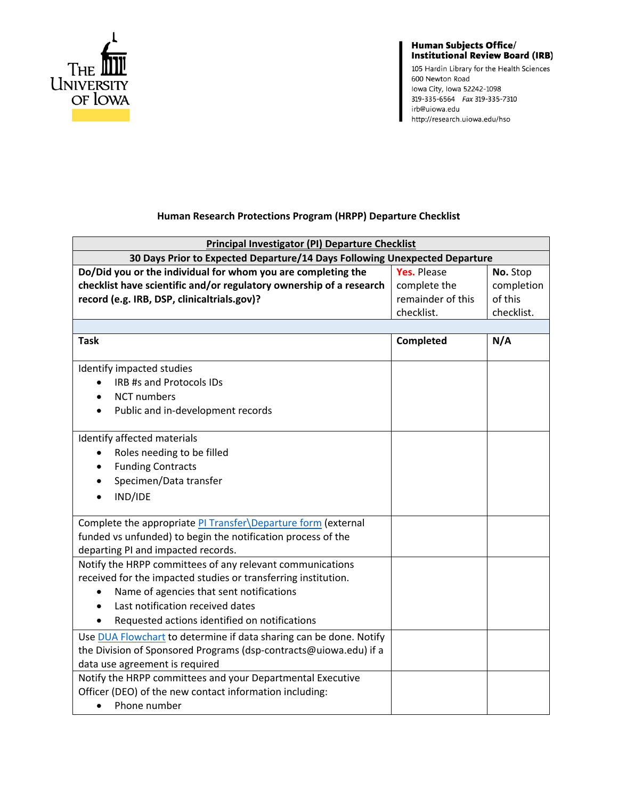

## Human Subjects Office/<br>Institutional Review Board (IRB)

105 Hardin Library for the Health Sciences 600 Newton Road lowa City, Iowa 52242-1098 319-335-6564 Fax 319-335-7310 irb@uiowa.edu http://research.uiowa.edu/hso

## **Human Research Protections Program (HRPP) Departure Checklist**

| Principal Investigator (PI) Departure Checklist                            |                    |            |  |
|----------------------------------------------------------------------------|--------------------|------------|--|
| 30 Days Prior to Expected Departure/14 Days Following Unexpected Departure |                    |            |  |
| Do/Did you or the individual for whom you are completing the               | <b>Yes. Please</b> | No. Stop   |  |
| checklist have scientific and/or regulatory ownership of a research        | complete the       | completion |  |
| record (e.g. IRB, DSP, clinicaltrials.gov)?                                | remainder of this  | of this    |  |
|                                                                            | checklist.         | checklist. |  |
|                                                                            |                    |            |  |
| <b>Task</b>                                                                | Completed          | N/A        |  |
| Identify impacted studies                                                  |                    |            |  |
| IRB #s and Protocols IDs                                                   |                    |            |  |
| <b>NCT</b> numbers                                                         |                    |            |  |
| Public and in-development records                                          |                    |            |  |
| Identify affected materials                                                |                    |            |  |
| Roles needing to be filled                                                 |                    |            |  |
| <b>Funding Contracts</b>                                                   |                    |            |  |
| Specimen/Data transfer                                                     |                    |            |  |
| IND/IDE                                                                    |                    |            |  |
| Complete the appropriate PI Transfer\Departure form (external              |                    |            |  |
| funded vs unfunded) to begin the notification process of the               |                    |            |  |
| departing PI and impacted records.                                         |                    |            |  |
| Notify the HRPP committees of any relevant communications                  |                    |            |  |
| received for the impacted studies or transferring institution.             |                    |            |  |
| Name of agencies that sent notifications<br>$\bullet$                      |                    |            |  |
| Last notification received dates                                           |                    |            |  |
| Requested actions identified on notifications                              |                    |            |  |
| Use DUA Flowchart to determine if data sharing can be done. Notify         |                    |            |  |
| the Division of Sponsored Programs (dsp-contracts@uiowa.edu) if a          |                    |            |  |
| data use agreement is required                                             |                    |            |  |
| Notify the HRPP committees and your Departmental Executive                 |                    |            |  |
| Officer (DEO) of the new contact information including:                    |                    |            |  |
| Phone number<br>$\bullet$                                                  |                    |            |  |